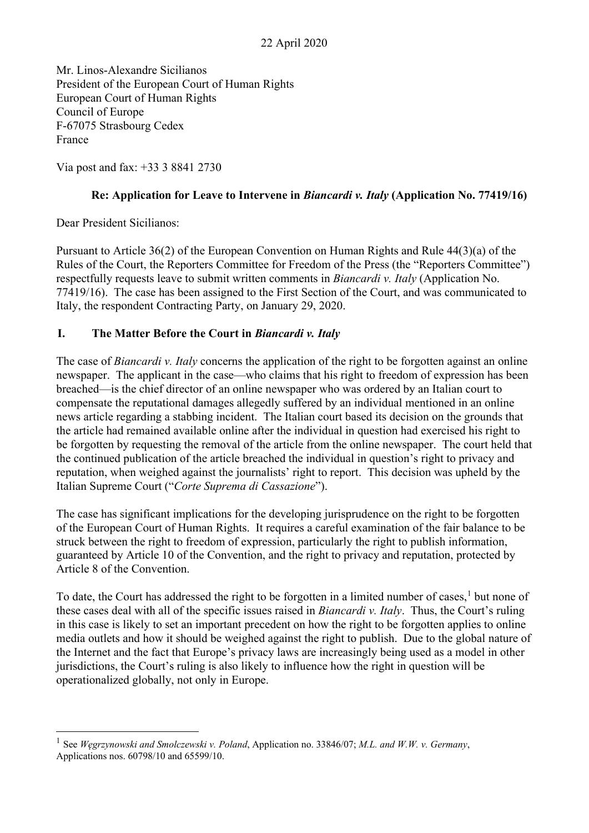Mr. Linos-Alexandre Sicilianos President of the European Court of Human Rights European Court of Human Rights Council of Europe F-67075 Strasbourg Cedex France

Via post and fax: +33 3 8841 2730

### **Re: Application for Leave to Intervene in** *Biancardi v. Italy* **(Application No. 77419/16)**

Dear President Sicilianos:

Pursuant to Article 36(2) of the European Convention on Human Rights and Rule 44(3)(a) of the Rules of the Court, the Reporters Committee for Freedom of the Press (the "Reporters Committee") respectfully requests leave to submit written comments in *Biancardi v. Italy* (Application No. 77419/16). The case has been assigned to the First Section of the Court, and was communicated to Italy, the respondent Contracting Party, on January 29, 2020.

# **I. The Matter Before the Court in** *Biancardi v. Italy*

The case of *Biancardi v. Italy* concerns the application of the right to be forgotten against an online newspaper. The applicant in the case—who claims that his right to freedom of expression has been breached—is the chief director of an online newspaper who was ordered by an Italian court to compensate the reputational damages allegedly suffered by an individual mentioned in an online news article regarding a stabbing incident. The Italian court based its decision on the grounds that the article had remained available online after the individual in question had exercised his right to be forgotten by requesting the removal of the article from the online newspaper. The court held that the continued publication of the article breached the individual in question's right to privacy and reputation, when weighed against the journalists' right to report. This decision was upheld by the Italian Supreme Court ("*Corte Suprema di Cassazione*").

The case has significant implications for the developing jurisprudence on the right to be forgotten of the European Court of Human Rights. It requires a careful examination of the fair balance to be struck between the right to freedom of expression, particularly the right to publish information, guaranteed by Article 10 of the Convention, and the right to privacy and reputation, protected by Article 8 of the Convention.

To date, the Court has addressed the right to be forgotten in a limited number of cases,<sup>[1](#page-0-0)</sup> but none of these cases deal with all of the specific issues raised in *Biancardi v. Italy*. Thus, the Court's ruling in this case is likely to set an important precedent on how the right to be forgotten applies to online media outlets and how it should be weighed against the right to publish. Due to the global nature of the Internet and the fact that Europe's privacy laws are increasingly being used as a model in other jurisdictions, the Court's ruling is also likely to influence how the right in question will be operationalized globally, not only in Europe.

<span id="page-0-0"></span><sup>1</sup> See *Węgrzynowski and Smolczewski v. Poland*, Application no[. 33846/07;](https://hudoc.echr.coe.int/eng#%7B%22appno%22:%5B%2233846/07%22%5D%7D) *M.L. and W.W. v. Germany*, Applications nos. [60798/10](https://hudoc.echr.coe.int/eng#%7B%22appno%22:%5B%2260798/10%22%5D%7D) and [65599/10.](https://hudoc.echr.coe.int/eng#%7B%22appno%22:%5B%2265599/10%22%5D%7D)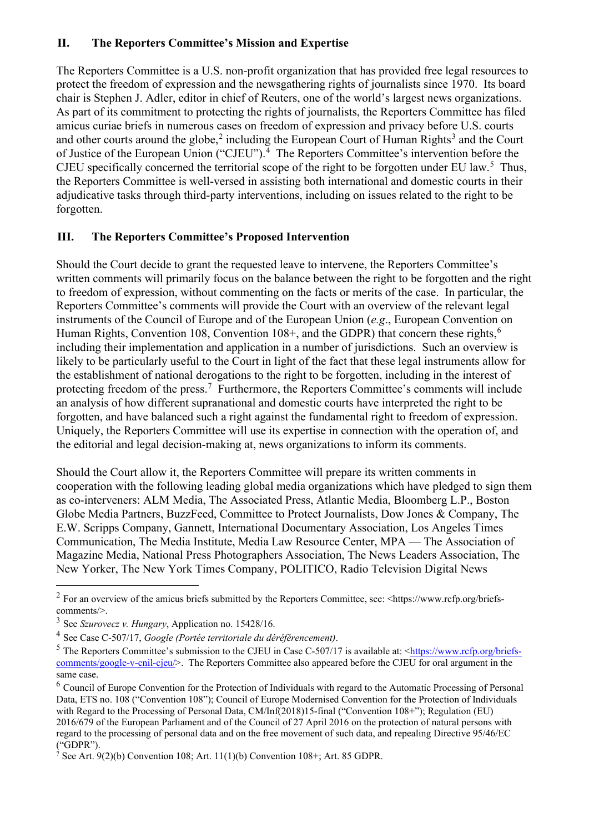# **II. The Reporters Committee's Mission and Expertise**

The Reporters Committee is a U.S. non-profit organization that has provided free legal resources to protect the freedom of expression and the newsgathering rights of journalists since 1970. Its board chair is Stephen J. Adler, editor in chief of Reuters, one of the world's largest news organizations. As part of its commitment to protecting the rights of journalists, the Reporters Committee has filed amicus curiae briefs in numerous cases on freedom of expression and privacy before U.S. courts and other courts around the globe,<sup>[2](#page-1-0)</sup> including the European Court of Human Rights<sup>[3](#page-1-1)</sup> and the Court of Justice of the European Union ("CJEU").<sup>[4](#page-1-2)</sup> The Reporters Committee's intervention before the CJEU specifically concerned the territorial scope of the right to be forgotten under EU law.<sup>[5](#page-1-3)</sup> Thus, the Reporters Committee is well-versed in assisting both international and domestic courts in their adjudicative tasks through third-party interventions, including on issues related to the right to be forgotten.

# **III. The Reporters Committee's Proposed Intervention**

Should the Court decide to grant the requested leave to intervene, the Reporters Committee's written comments will primarily focus on the balance between the right to be forgotten and the right to freedom of expression, without commenting on the facts or merits of the case. In particular, the Reporters Committee's comments will provide the Court with an overview of the relevant legal instruments of the Council of Europe and of the European Union (*e.g*., European Convention on Human Rights, Convention 108, Convention 108+, and the GDPR) that concern these rights,<sup>[6](#page-1-4)</sup> including their implementation and application in a number of jurisdictions. Such an overview is likely to be particularly useful to the Court in light of the fact that these legal instruments allow for the establishment of national derogations to the right to be forgotten, including in the interest of protecting freedom of the press.<sup>[7](#page-1-5)</sup> Furthermore, the Reporters Committee's comments will include an analysis of how different supranational and domestic courts have interpreted the right to be forgotten, and have balanced such a right against the fundamental right to freedom of expression. Uniquely, the Reporters Committee will use its expertise in connection with the operation of, and the editorial and legal decision-making at, news organizations to inform its comments.

Should the Court allow it, the Reporters Committee will prepare its written comments in cooperation with the following leading global media organizations which have pledged to sign them as co-interveners: ALM Media, The Associated Press, Atlantic Media, Bloomberg L.P., Boston Globe Media Partners, BuzzFeed, Committee to Protect Journalists, Dow Jones & Company, The E.W. Scripps Company, Gannett, International Documentary Association, Los Angeles Times Communication, The Media Institute, Media Law Resource Center, MPA — The Association of Magazine Media, National Press Photographers Association, The News Leaders Association, The New Yorker, The New York Times Company, POLITICO, Radio Television Digital News

<span id="page-1-0"></span><sup>&</sup>lt;sup>2</sup> For an overview of the amicus briefs submitted by the Reporters Committee, see: [<https://www.rcfp.org/briefs](https://www.rcfp.org/briefs-comments/)[comments/>](https://www.rcfp.org/briefs-comments/).

<span id="page-1-1"></span><sup>3</sup> See *Szurovecz v. Hungary*, Application no. [15428/16.](https://hudoc.echr.coe.int/eng#%7B%22appno%22:%5B%2215428/16%22%5D%7D)

<span id="page-1-2"></span><sup>4</sup> See Case C-507/17, *Google (Portée territoriale du déréférencement)*.

<span id="page-1-3"></span> $5$  The Reporters Committee's submission to the CJEU in Case C-507/17 is available at:  $\frac{\text{https://www.rcfp.org/briefs-}}{\text{https://www.rcfp.org/briefs-}}$ [comments/google-v-cnil-cjeu/>](https://www.rcfp.org/briefs-comments/google-v-cnil-cjeu/). The Reporters Committee also appeared before the CJEU for oral argument in the same case.

<span id="page-1-4"></span> $6$  Council of Europe Convention for the Protection of Individuals with regard to the Automatic Processing of Personal Data, ETS no. 108 ("Convention 108"); Council of Europe Modernised Convention for the Protection of Individuals with Regard to the Processing of Personal Data, CM/Inf(2018)15-final ("Convention 108+"); Regulation (EU) 2016/679 of the European Parliament and of the Council of 27 April 2016 on the protection of natural persons with regard to the processing of personal data and on the free movement of such data, and repealing Directive 95/46/EC ("GDPR").

<span id="page-1-5"></span> $\overline{7}$  See Art. 9(2)(b) Convention 108; Art. 11(1)(b) Convention 108+; Art. 85 GDPR.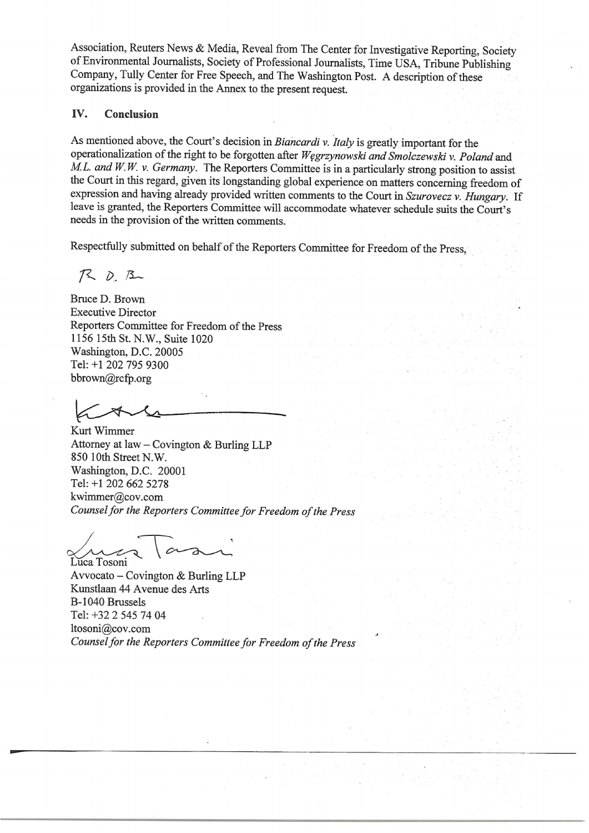Association, Reuters News & Media, Reveal from The Center for Investigative Reporting, Society of Environmental Journalists, Society of Professional Journalists, Time USA, Tribune Publishing Company, Tully Center for Free Speech, and The Washington Post. A description of these organizations is provided in the Annex to the present request.

#### IV. Conclusion

As mentioned above, the Court's decision in Biancardi v. Italy is greatly important for the operationalization of the right to be forgotten after Wegrzynowski and Smolczewski v. Poland and  $M.L.$  and  $W.W.$  v. Germany. The Reporters Committee is in a particularly strong position to assist the Court in this regard, given its longstanding global experience on matters concerning freedom of expression and having already provided written comments to the Court in Szurovecz v. Hungary. If leave is granted, the Reporters Committee will accommodate whatever schedule suits the Court's needs in the provision of the written comments.

Respectfully submitted on behalf of the Reporters Committee for Freedom of the Press,

 $720.8$ 

Bruce D. Brown **Executive Director** Reporters Committee for Freedom of the Press 1156 15th St. N.W., Suite 1020 Washington, D.C. 20005 Tel: +1 202 795 9300 bbrown@rcfp.org

Kurt Wimmer Attorney at law - Covington & Burling LLP 850 10th Street N.W. Washington, D.C. 20001 Tel: +1 202 662 5278 kwimmer@cov.com Counsel for the Reporters Committee for Freedom of the Press

Luca Tosoni

Avvocato – Covington & Burling LLP Kunstlaan 44 Avenue des Arts B-1040 Brussels Tel: +32 2 545 74 04 ltosoni@cov.com Counsel for the Reporters Committee for Freedom of the Press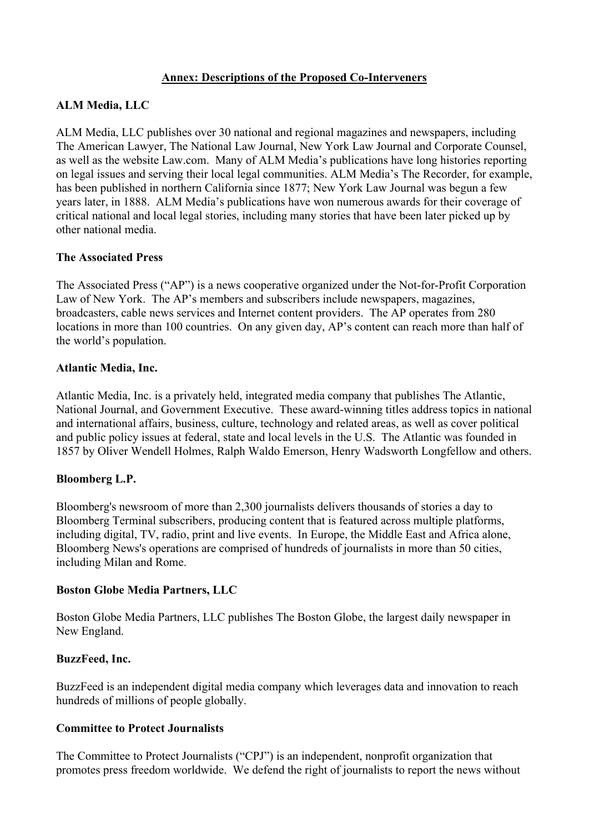## **Annex: Descriptions of the Proposed Co-Interveners**

# **ALM Media, LLC**

ALM Media, LLC publishes over 30 national and regional magazines and newspapers, including The American Lawyer, The National Law Journal, New York Law Journal and Corporate Counsel, as well as the website Law.com. Many of ALM Media's publications have long histories reporting on legal issues and serving their local legal communities. ALM Media's The Recorder, for example, has been published in northern California since 1877; New York Law Journal was begun a few years later, in 1888. ALM Media's publications have won numerous awards for their coverage of critical national and local legal stories, including many stories that have been later picked up by other national media.

### **The Associated Press**

The Associated Press ("AP") is a news cooperative organized under the Not-for-Profit Corporation Law of New York. The AP's members and subscribers include newspapers, magazines, broadcasters, cable news services and Internet content providers. The AP operates from 280 locations in more than 100 countries. On any given day, AP's content can reach more than half of the world's population.

### **Atlantic Media, Inc.**

Atlantic Media, Inc. is a privately held, integrated media company that publishes The Atlantic, National Journal, and Government Executive. These award-winning titles address topics in national and international affairs, business, culture, technology and related areas, as well as cover political and public policy issues at federal, state and local levels in the U.S. The Atlantic was founded in 1857 by Oliver Wendell Holmes, Ralph Waldo Emerson, Henry Wadsworth Longfellow and others.

### **Bloomberg L.P.**

Bloomberg's newsroom of more than 2,300 journalists delivers thousands of stories a day to Bloomberg Terminal subscribers, producing content that is featured across multiple platforms, including digital, TV, radio, print and live events. In Europe, the Middle East and Africa alone, Bloomberg News's operations are comprised of hundreds of journalists in more than 50 cities, including Milan and Rome.

### **Boston Globe Media Partners, LLC**

Boston Globe Media Partners, LLC publishes The Boston Globe, the largest daily newspaper in New England.

### **BuzzFeed, Inc.**

BuzzFeed is an independent digital media company which leverages data and innovation to reach hundreds of millions of people globally.

### **Committee to Protect Journalists**

The Committee to Protect Journalists ("CPJ") is an independent, nonprofit organization that promotes press freedom worldwide. We defend the right of journalists to report the news without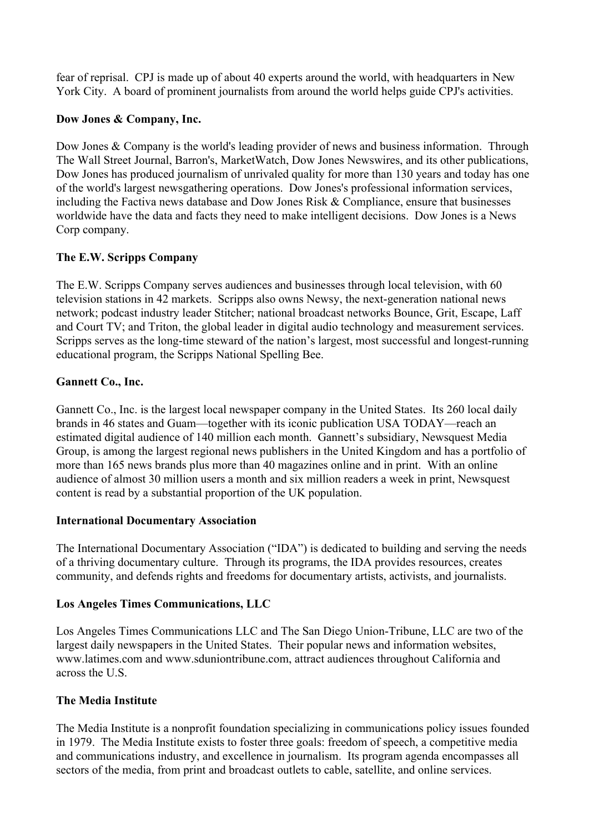fear of reprisal. CPJ is made up of about 40 experts around the world, with headquarters in New York City. A board of prominent journalists from around the world helps guide CPJ's activities.

## **Dow Jones & Company, Inc.**

Dow Jones & Company is the world's leading provider of news and business information. Through The Wall Street Journal, Barron's, MarketWatch, Dow Jones Newswires, and its other publications, Dow Jones has produced journalism of unrivaled quality for more than 130 years and today has one of the world's largest newsgathering operations. Dow Jones's professional information services, including the Factiva news database and Dow Jones Risk & Compliance, ensure that businesses worldwide have the data and facts they need to make intelligent decisions. Dow Jones is a News Corp company.

# **The E.W. Scripps Company**

The E.W. Scripps Company serves audiences and businesses through local television, with 60 television stations in 42 markets. Scripps also owns Newsy, the next-generation national news network; podcast industry leader Stitcher; national broadcast networks Bounce, Grit, Escape, Laff and Court TV; and Triton, the global leader in digital audio technology and measurement services. Scripps serves as the long-time steward of the nation's largest, most successful and longest-running educational program, the Scripps National Spelling Bee.

# **Gannett Co., Inc.**

Gannett Co., Inc. is the largest local newspaper company in the United States. Its 260 local daily brands in 46 states and Guam—together with its iconic publication USA TODAY—reach an estimated digital audience of 140 million each month. Gannett's subsidiary, Newsquest Media Group, is among the largest regional news publishers in the United Kingdom and has a portfolio of more than 165 news brands plus more than 40 magazines online and in print. With an online audience of almost 30 million users a month and six million readers a week in print, Newsquest content is read by a substantial proportion of the UK population.

### **International Documentary Association**

The International Documentary Association ("IDA") is dedicated to building and serving the needs of a thriving documentary culture. Through its programs, the IDA provides resources, creates community, and defends rights and freedoms for documentary artists, activists, and journalists.

### **Los Angeles Times Communications, LLC**

Los Angeles Times Communications LLC and The San Diego Union-Tribune, LLC are two of the largest daily newspapers in the United States. Their popular news and information websites, www.latimes.com and www.sduniontribune.com, attract audiences throughout California and across the U.S.

# **The Media Institute**

The Media Institute is a nonprofit foundation specializing in communications policy issues founded in 1979. The Media Institute exists to foster three goals: freedom of speech, a competitive media and communications industry, and excellence in journalism. Its program agenda encompasses all sectors of the media, from print and broadcast outlets to cable, satellite, and online services.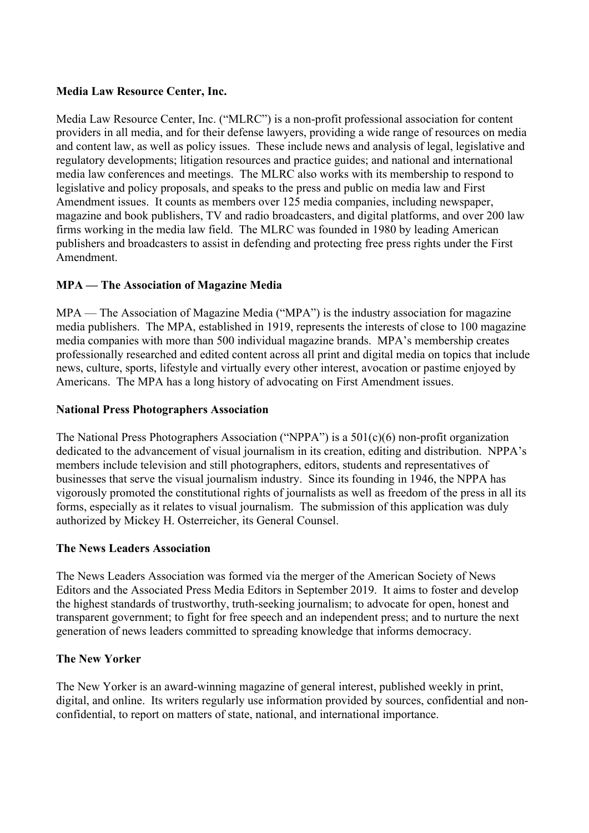#### **Media Law Resource Center, Inc.**

Media Law Resource Center, Inc. ("MLRC") is a non-profit professional association for content providers in all media, and for their defense lawyers, providing a wide range of resources on media and content law, as well as policy issues. These include news and analysis of legal, legislative and regulatory developments; litigation resources and practice guides; and national and international media law conferences and meetings. The MLRC also works with its membership to respond to legislative and policy proposals, and speaks to the press and public on media law and First Amendment issues. It counts as members over 125 media companies, including newspaper, magazine and book publishers, TV and radio broadcasters, and digital platforms, and over 200 law firms working in the media law field. The MLRC was founded in 1980 by leading American publishers and broadcasters to assist in defending and protecting free press rights under the First Amendment.

# **MPA — The Association of Magazine Media**

MPA — The Association of Magazine Media ("MPA") is the industry association for magazine media publishers. The MPA, established in 1919, represents the interests of close to 100 magazine media companies with more than 500 individual magazine brands. MPA's membership creates professionally researched and edited content across all print and digital media on topics that include news, culture, sports, lifestyle and virtually every other interest, avocation or pastime enjoyed by Americans. The MPA has a long history of advocating on First Amendment issues.

#### **National Press Photographers Association**

The National Press Photographers Association ("NPPA") is a 501(c)(6) non-profit organization dedicated to the advancement of visual journalism in its creation, editing and distribution. NPPA's members include television and still photographers, editors, students and representatives of businesses that serve the visual journalism industry. Since its founding in 1946, the NPPA has vigorously promoted the constitutional rights of journalists as well as freedom of the press in all its forms, especially as it relates to visual journalism. The submission of this application was duly authorized by Mickey H. Osterreicher, its General Counsel.

#### **The News Leaders Association**

The News Leaders Association was formed via the merger of the American Society of News Editors and the Associated Press Media Editors in September 2019. It aims to foster and develop the highest standards of trustworthy, truth-seeking journalism; to advocate for open, honest and transparent government; to fight for free speech and an independent press; and to nurture the next generation of news leaders committed to spreading knowledge that informs democracy.

### **The New Yorker**

The New Yorker is an award-winning magazine of general interest, published weekly in print, digital, and online. Its writers regularly use information provided by sources, confidential and nonconfidential, to report on matters of state, national, and international importance.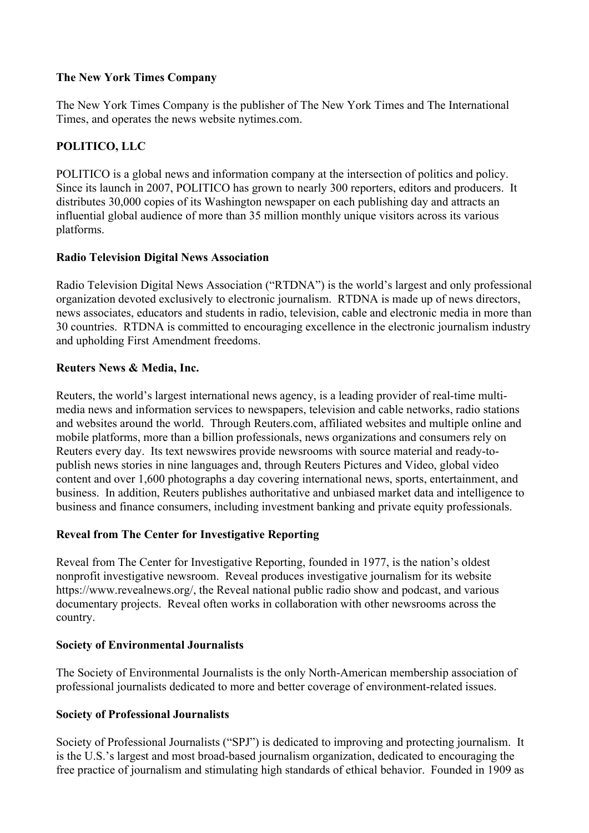# **The New York Times Company**

The New York Times Company is the publisher of The New York Times and The International Times, and operates the news website nytimes.com.

# **POLITICO, LLC**

POLITICO is a global news and information company at the intersection of politics and policy. Since its launch in 2007, POLITICO has grown to nearly 300 reporters, editors and producers. It distributes 30,000 copies of its Washington newspaper on each publishing day and attracts an influential global audience of more than 35 million monthly unique visitors across its various platforms.

# **Radio Television Digital News Association**

Radio Television Digital News Association ("RTDNA") is the world's largest and only professional organization devoted exclusively to electronic journalism. RTDNA is made up of news directors, news associates, educators and students in radio, television, cable and electronic media in more than 30 countries. RTDNA is committed to encouraging excellence in the electronic journalism industry and upholding First Amendment freedoms.

### **Reuters News & Media, Inc.**

Reuters, the world's largest international news agency, is a leading provider of real-time multimedia news and information services to newspapers, television and cable networks, radio stations and websites around the world. Through Reuters.com, affiliated websites and multiple online and mobile platforms, more than a billion professionals, news organizations and consumers rely on Reuters every day. Its text newswires provide newsrooms with source material and ready-topublish news stories in nine languages and, through Reuters Pictures and Video, global video content and over 1,600 photographs a day covering international news, sports, entertainment, and business. In addition, Reuters publishes authoritative and unbiased market data and intelligence to business and finance consumers, including investment banking and private equity professionals.

# **Reveal from The Center for Investigative Reporting**

Reveal from The Center for Investigative Reporting, founded in 1977, is the nation's oldest nonprofit investigative newsroom. Reveal produces investigative journalism for its website https://www.revealnews.org/, the Reveal national public radio show and podcast, and various documentary projects. Reveal often works in collaboration with other newsrooms across the country.

### **Society of Environmental Journalists**

The Society of Environmental Journalists is the only North-American membership association of professional journalists dedicated to more and better coverage of environment-related issues.

# **Society of Professional Journalists**

Society of Professional Journalists ("SPJ") is dedicated to improving and protecting journalism. It is the U.S.'s largest and most broad-based journalism organization, dedicated to encouraging the free practice of journalism and stimulating high standards of ethical behavior. Founded in 1909 as